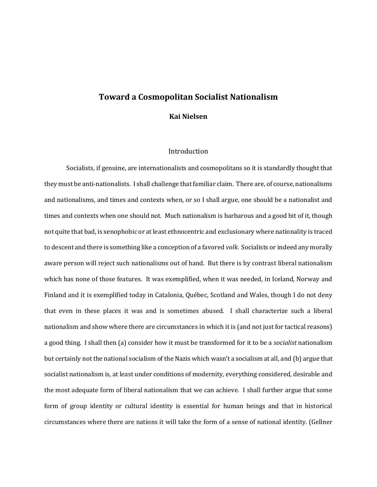# **Toward a Cosmopolitan Socialist Nationalism**

**Kai Nielsen**

### Introduction

Socialists, if genuine, are internationalists and cosmopolitans so it is standardly thought that they must be anti-nationalists. I shall challenge that familiar claim. There are, of course, nationalisms and nationalisms, and times and contexts when, or so I shall argue, one should be a nationalist and times and contexts when one should not. Much nationalism is barbarous and a good bit of it, though not quite that bad, is xenophobic or at least ethnocentric and exclusionary where nationality is traced to descent and there is something like a conception of a favored *volk*. Socialists or indeed any morally aware person will reject such nationalisms out of hand. But there is by contrast liberal nationalism which has none of those features. It was exemplified, when it was needed, in Iceland, Norway and Finland and it is exemplified today in Catalonia, Québec, Scotland and Wales, though I do not deny that even in these places it was and is sometimes abused. I shall characterize such a liberal nationalism and show where there are circumstances in which it is (and not just for tactical reasons) a good thing. I shall then (a) consider how it must be transformed for it to be a *socialist* nationalism but certainly not the national socialism of the Nazis which wasn't a socialism at all, and (b) argue that socialist nationalism is, at least under conditions of modernity, everything considered, desirable and the most adequate form of liberal nationalism that we can achieve. I shall further argue that some form of group identity or cultural identity is essential for human beings and that in historical circumstances where there are nations it will take the form of a sense of national identity. (Gellner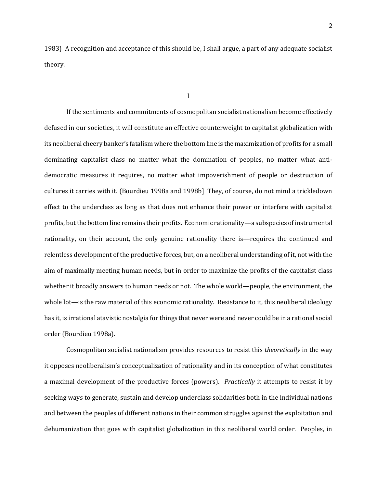1983) A recognition and acceptance of this should be, I shall argue, a part of any adequate socialist theory.

I

If the sentiments and commitments of cosmopolitan socialist nationalism become effectively defused in our societies, it will constitute an effective counterweight to capitalist globalization with its neoliberal cheery banker's fatalism where the bottom line is the maximization of profits for a small dominating capitalist class no matter what the domination of peoples, no matter what antidemocratic measures it requires, no matter what impoverishment of people or destruction of cultures it carries with it. (Bourdieu 1998a and 1998b] They, of course, do not mind a trickledown effect to the underclass as long as that does not enhance their power or interfere with capitalist profits, but the bottom line remains their profits. Economic rationality—a subspecies of instrumental rationality, on their account, the only genuine rationality there is—requires the continued and relentless development of the productive forces, but, on a neoliberal understanding of it, not with the aim of maximally meeting human needs, but in order to maximize the profits of the capitalist class whether it broadly answers to human needs or not. The whole world—people, the environment, the whole lot—is the raw material of this economic rationality. Resistance to it, this neoliberal ideology has it, is irrational atavistic nostalgia for things that never were and never could be in a rational social order (Bourdieu 1998a).

Cosmopolitan socialist nationalism provides resources to resist this *theoretically* in the way it opposes neoliberalism's conceptualization of rationality and in its conception of what constitutes a maximal development of the productive forces (powers). *Practically* it attempts to resist it by seeking ways to generate, sustain and develop underclass solidarities both in the individual nations and between the peoples of different nations in their common struggles against the exploitation and dehumanization that goes with capitalist globalization in this neoliberal world order. Peoples, in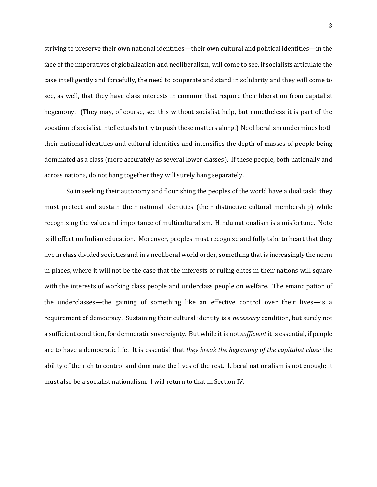striving to preserve their own national identities—their own cultural and political identities—in the face of the imperatives of globalization and neoliberalism, will come to see, if socialists articulate the case intelligently and forcefully, the need to cooperate and stand in solidarity and they will come to see, as well, that they have class interests in common that require their liberation from capitalist hegemony. (They may, of course, see this without socialist help, but nonetheless it is part of the vocation of socialist intellectuals to try to push these matters along.) Neoliberalism undermines both their national identities and cultural identities and intensifies the depth of masses of people being dominated as a class (more accurately as several lower classes). If these people, both nationally and across nations, do not hang together they will surely hang separately.

So in seeking their autonomy and flourishing the peoples of the world have a dual task: they must protect and sustain their national identities (their distinctive cultural membership) while recognizing the value and importance of multiculturalism. Hindu nationalism is a misfortune. Note is ill effect on Indian education. Moreover, peoples must recognize and fully take to heart that they live in class divided societies and in a neoliberal world order, something that is increasingly the norm in places, where it will not be the case that the interests of ruling elites in their nations will square with the interests of working class people and underclass people on welfare. The emancipation of the underclasses—the gaining of something like an effective control over their lives—is a requirement of democracy. Sustaining their cultural identity is a *necessary* condition, but surely not a sufficient condition, for democratic sovereignty. But while it is not *sufficient* it is essential, if people are to have a democratic life. It is essential that *they break the hegemony of the capitalist class:* the ability of the rich to control and dominate the lives of the rest. Liberal nationalism is not enough; it must also be a socialist nationalism. I will return to that in Section IV.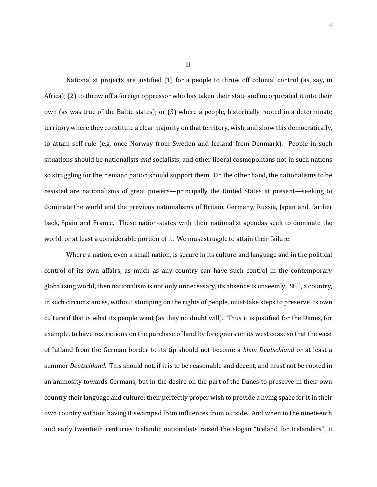Nationalist projects are justified (1) for a people to throw off colonial control (as, say, in Africa); (2) to throw off a foreign oppressor who has taken their state and incorporated it into their own (as was true of the Baltic states); or (3) where a people, historically rooted in a determinate territory where they constitute a clear majority on that territory, wish, and show this democratically, to attain self-rule (e.g. once Norway from Sweden and Iceland from Denmark). People in such situations should be nationalists *and* socialists, and other liberal cosmopolitans not in such nations so struggling for their emancipation should support them. On the other hand, the nationalisms to be resisted are nationalisms of great powers—principally the United States at present—seeking to dominate the world and the previous nationalisms of Britain, Germany, Russia, Japan and, farther back, Spain and France. These nation-states with their nationalist agendas seek to dominate the world, or at least a considerable portion of it. We must struggle to attain their failure.

Where a nation, even a small nation, is secure in its culture and language and in the political control of its own affairs, as much as any country can have such control in the contemporary globalizing world, then nationalism is not only unnecessary, its absence is unseemly. Still, a country, in such circumstances, without stomping on the rights of people, must take steps to preserve its own culture if that is what its people want (as they no doubt will). Thus it is justified for the Danes, for example, to have restrictions on the purchase of land by foreigners on its west coast so that the west of Jutland from the German border to its tip should not become a *klein Deutschland* or at least a summer *Deutschland*. This should not, if it is to be reasonable and decent, and must not be rooted in an animosity towards Germans, but in the desire on the part of the Danes to preserve in their own country their language and culture: their perfectly proper wish to provide a living space for it in their own country without having it swamped from influences from outside. And when in the nineteenth and early twentieth centuries Icelandic nationalists raised the slogan "Iceland for Icelanders", it

II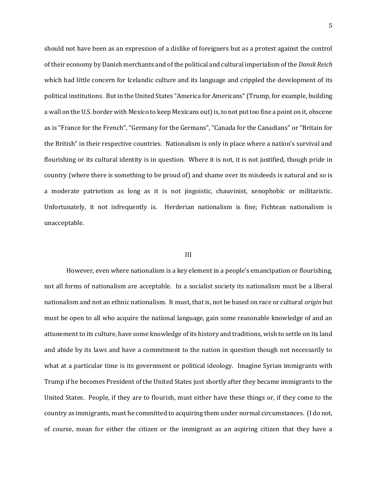should not have been as an expression of a dislike of foreigners but as a protest against the control of their economy by Danish merchants and of the political and cultural imperialism of the *Dansk Reich* which had little concern for Icelandic culture and its language and crippled the development of its political institutions. But in the United States "America for Americans" (Trump, for example, building a wall on the U.S. border with Mexico to keep Mexicans out) is, to not put too fine a point on it, obscene as is "France for the French", "Germany for the Germans", "Canada for the Canadians" or "Britain for the British" in their respective countries. Nationalism is only in place where a nation's survival and flourishing or its cultural identity is in question. Where it is not, it is not justified, though pride in country (where there is something to be proud of) and shame over its misdeeds is natural and so is a moderate patriotism as long as it is not jingoistic, chauvinist, xenophobic or militaristic. Unfortunately, it not infrequently is. Herderian nationalism is fine; Fichtean nationalism is unacceptable.

#### III

However, even where nationalism is a key element in a people's emancipation or flourishing, not all forms of nationalism are acceptable. In a socialist society its nationalism must be a liberal nationalism and not an ethnic nationalism. It must, that is, not be based on race or cultural *origin* but must be open to all who acquire the national language, gain some reasonable knowledge of and an attunement to its culture, have some knowledge of its history and traditions, wish to settle on its land and abide by its laws and have a commitment to the nation in question though not necessarily to what at a particular time is its government or political ideology. Imagine Syrian immigrants with Trump if he becomes President of the United States just shortly after they became immigrants to the United States. People, if they are to flourish, must either have these things or, if they come to the country as immigrants, must be committed to acquiring them under normal circumstances. (I do not, of course, mean for either the citizen or the immigrant as an aspiring citizen that they have a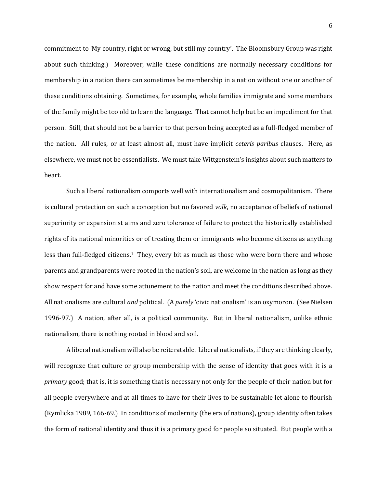commitment to 'My country, right or wrong, but still my country'. The Bloomsbury Group was right about such thinking.) Moreover, while these conditions are normally necessary conditions for membership in a nation there can sometimes be membership in a nation without one or another of these conditions obtaining. Sometimes, for example, whole families immigrate and some members of the family might be too old to learn the language. That cannot help but be an impediment for that person. Still, that should not be a barrier to that person being accepted as a full-fledged member of the nation. All rules, or at least almost all, must have implicit *ceteris paribus* clauses. Here, as elsewhere, we must not be essentialists. We must take Wittgenstein's insights about such matters to heart.

Such a liberal nationalism comports well with internationalism and cosmopolitanism. There is cultural protection on such a conception but no favored *volk*, no acceptance of beliefs of national superiority or expansionist aims and zero tolerance of failure to protect the historically established rights of its national minorities or of treating them or immigrants who become citizens as anything less than full-fledged citizens.1 They, every bit as much as those who were born there and whose parents and grandparents were rooted in the nation's soil, are welcome in the nation as long as they show respect for and have some attunement to the nation and meet the conditions described above. All nationalisms are cultural *and* political. (A *purely* 'civic nationalism' is an oxymoron. (See Nielsen 1996-97.) A nation, after all, is a political community. But in liberal nationalism, unlike ethnic nationalism, there is nothing rooted in blood and soil.

A liberal nationalism will also be reiteratable. Liberal nationalists, if they are thinking clearly, will recognize that culture or group membership with the sense of identity that goes with it is a *primary* good; that is, it is something that is necessary not only for the people of their nation but for all people everywhere and at all times to have for their lives to be sustainable let alone to flourish (Kymlicka 1989, 166-69.) In conditions of modernity (the era of nations), group identity often takes the form of national identity and thus it is a primary good for people so situated. But people with a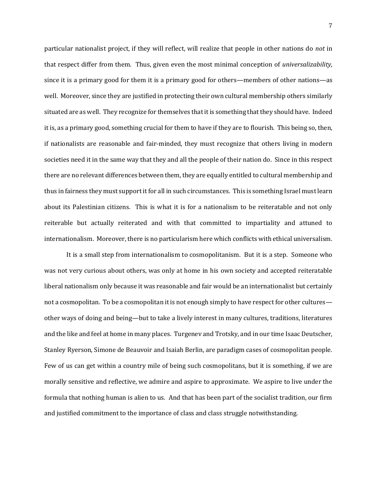particular nationalist project, if they will reflect, will realize that people in other nations do *not* in that respect differ from them. Thus, given even the most minimal conception of *universalizability*, since it is a primary good for them it is a primary good for others—members of other nations—as well. Moreover, since they are justified in protecting their own cultural membership others similarly situated are as well. They recognize for themselves that it is something that they should have. Indeed it is, as a primary good, something crucial for them to have if they are to flourish. This being so, then, if nationalists are reasonable and fair-minded, they must recognize that others living in modern societies need it in the same way that they and all the people of their nation do. Since in this respect there are no relevant differences between them, they are equally entitled to cultural membership and thus in fairness they must support it for all in such circumstances. This is something Israel must learn about its Palestinian citizens. This is what it is for a nationalism to be reiteratable and not only reiterable but actually reiterated and with that committed to impartiality and attuned to internationalism. Moreover, there is no particularism here which conflicts with ethical universalism.

It is a small step from internationalism to cosmopolitanism. But it is a step. Someone who was not very curious about others, was only at home in his own society and accepted reiteratable liberal nationalism only because it was reasonable and fair would be an internationalist but certainly not a cosmopolitan. To be a cosmopolitan it is not enough simply to have respect for other cultures other ways of doing and being—but to take a lively interest in many cultures, traditions, literatures and the like and feel at home in many places. Turgenev and Trotsky, and in our time Isaac Deutscher, Stanley Ryerson, Simone de Beauvoir and Isaiah Berlin, are paradigm cases of cosmopolitan people. Few of us can get within a country mile of being such cosmopolitans, but it is something, if we are morally sensitive and reflective, we admire and aspire to approximate. We aspire to live under the formula that nothing human is alien to us. And that has been part of the socialist tradition, our firm and justified commitment to the importance of class and class struggle notwithstanding.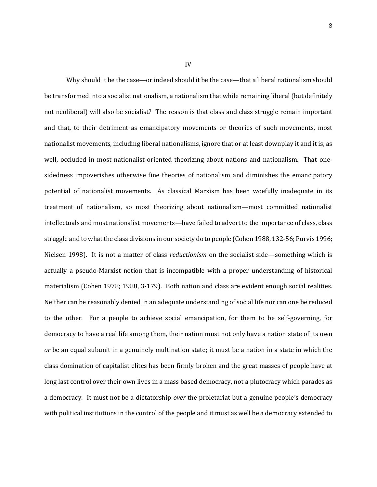Why should it be the case—or indeed should it be the case—that a liberal nationalism should be transformed into a socialist nationalism, a nationalism that while remaining liberal (but definitely not neoliberal) will also be socialist? The reason is that class and class struggle remain important and that, to their detriment as emancipatory movements or theories of such movements, most nationalist movements, including liberal nationalisms, ignore that or at least downplay it and it is, as well, occluded in most nationalist-oriented theorizing about nations and nationalism. That onesidedness impoverishes otherwise fine theories of nationalism and diminishes the emancipatory potential of nationalist movements. As classical Marxism has been woefully inadequate in its treatment of nationalism, so most theorizing about nationalism—most committed nationalist intellectuals and most nationalist movements—have failed to advert to the importance of class, class struggle and to what the class divisions in our society do to people (Cohen 1988, 132-56; Purvis 1996; Nielsen 1998). It is not a matter of class *reductionism* on the socialist side—something which is actually a pseudo-Marxist notion that is incompatible with a proper understanding of historical materialism (Cohen 1978; 1988, 3-179). Both nation and class are evident enough social realities. Neither can be reasonably denied in an adequate understanding of social life nor can one be reduced to the other. For a people to achieve social emancipation, for them to be self-governing, for democracy to have a real life among them, their nation must not only have a nation state of its own *or* be an equal subunit in a genuinely multination state; it must be a nation in a state in which the class domination of capitalist elites has been firmly broken and the great masses of people have at long last control over their own lives in a mass based democracy, not a plutocracy which parades as a democracy. It must not be a dictatorship *over* the proletariat but a genuine people's democracy with political institutions in the control of the people and it must as well be a democracy extended to

IV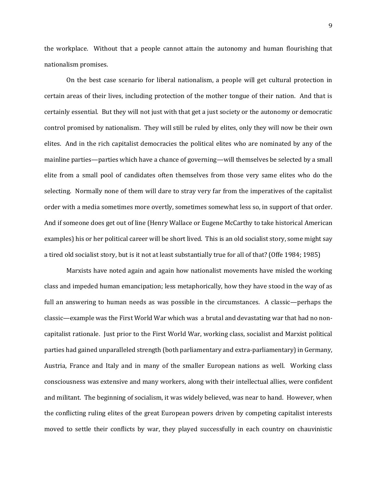the workplace. Without that a people cannot attain the autonomy and human flourishing that nationalism promises.

On the best case scenario for liberal nationalism, a people will get cultural protection in certain areas of their lives, including protection of the mother tongue of their nation. And that is certainly essential. But they will not just with that get a just society or the autonomy or democratic control promised by nationalism. They will still be ruled by elites, only they will now be their own elites. And in the rich capitalist democracies the political elites who are nominated by any of the mainline parties—parties which have a chance of governing—will themselves be selected by a small elite from a small pool of candidates often themselves from those very same elites who do the selecting. Normally none of them will dare to stray very far from the imperatives of the capitalist order with a media sometimes more overtly, sometimes somewhat less so, in support of that order. And if someone does get out of line (Henry Wallace or Eugene McCarthy to take historical American examples) his or her political career will be short lived. This is an old socialist story, some might say a tired old socialist story, but is it not at least substantially true for all of that? (Offe 1984; 1985)

Marxists have noted again and again how nationalist movements have misled the working class and impeded human emancipation; less metaphorically, how they have stood in the way of as full an answering to human needs as was possible in the circumstances. A classic—perhaps the classic—example was the First World War which was a brutal and devastating war that had no noncapitalist rationale. Just prior to the First World War, working class, socialist and Marxist political parties had gained unparalleled strength (both parliamentary and extra-parliamentary) in Germany, Austria, France and Italy and in many of the smaller European nations as well. Working class consciousness was extensive and many workers, along with their intellectual allies, were confident and militant. The beginning of socialism, it was widely believed, was near to hand. However, when the conflicting ruling elites of the great European powers driven by competing capitalist interests moved to settle their conflicts by war, they played successfully in each country on chauvinistic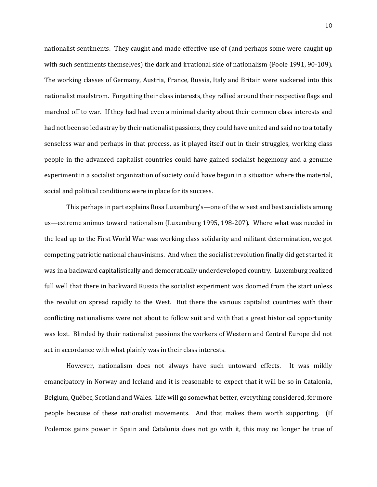nationalist sentiments. They caught and made effective use of (and perhaps some were caught up with such sentiments themselves) the dark and irrational side of nationalism (Poole 1991, 90-109). The working classes of Germany, Austria, France, Russia, Italy and Britain were suckered into this nationalist maelstrom. Forgetting their class interests, they rallied around their respective flags and marched off to war. If they had had even a minimal clarity about their common class interests and had not been so led astray by their nationalist passions, they could have united and said no to a totally senseless war and perhaps in that process, as it played itself out in their struggles, working class people in the advanced capitalist countries could have gained socialist hegemony and a genuine experiment in a socialist organization of society could have begun in a situation where the material, social and political conditions were in place for its success.

This perhaps in part explains Rosa Luxemburg's—one of the wisest and best socialists among us—extreme animus toward nationalism (Luxemburg 1995, 198-207). Where what was needed in the lead up to the First World War was working class solidarity and militant determination, we got competing patriotic national chauvinisms. And when the socialist revolution finally did get started it was in a backward capitalistically and democratically underdeveloped country. Luxemburg realized full well that there in backward Russia the socialist experiment was doomed from the start unless the revolution spread rapidly to the West. But there the various capitalist countries with their conflicting nationalisms were not about to follow suit and with that a great historical opportunity was lost. Blinded by their nationalist passions the workers of Western and Central Europe did not act in accordance with what plainly was in their class interests.

However, nationalism does not always have such untoward effects. It was mildly emancipatory in Norway and Iceland and it is reasonable to expect that it will be so in Catalonia, Belgium, Québec, Scotland and Wales. Life will go somewhat better, everything considered, for more people because of these nationalist movements. And that makes them worth supporting. (If Podemos gains power in Spain and Catalonia does not go with it, this may no longer be true of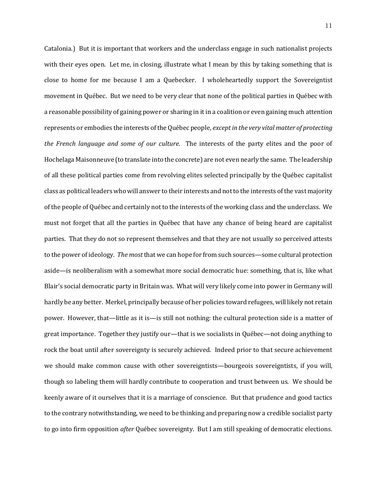Catalonia.) But it is important that workers and the underclass engage in such nationalist projects with their eyes open. Let me, in closing, illustrate what I mean by this by taking something that is close to home for me because I am a Quebecker. I wholeheartedly support the Sovereigntist movement in Québec. But we need to be very clear that none of the political parties in Québec with a reasonable possibility of gaining power or sharing in it in a coalition or even gaining much attention represents or embodies the interests of the Québec people, *except in the very vital matter of protecting the French language and some of our culture*. The interests of the party elites and the poor of Hochelaga Maisonneuve (to translate into the concrete) are not even nearly the same. The leadership of all these political parties come from revolving elites selected principally by the Québec capitalist class as political leaders who will answer to their interests and not to the interests of the vast majority of the people of Québec and certainly not to the interests of the working class and the underclass. We must not forget that all the parties in Québec that have any chance of being heard are capitalist parties. That they do not so represent themselves and that they are not usually so perceived attests to the power of ideology. *The most* that we can hope for from such sources—some cultural protection aside—is neoliberalism with a somewhat more social democratic hue: something, that is, like what Blair's social democratic party in Britain was. What will very likely come into power in Germany will hardly be any better. Merkel, principally because of her policies toward refugees, will likely not retain power. However, that—little as it is—is still not nothing: the cultural protection side is a matter of great importance. Together they justify our—that is we socialists in Québec—not doing anything to rock the boat until after sovereignty is securely achieved. Indeed prior to that secure achievement we should make common cause with other sovereigntists—bourgeois sovereigntists, if you will, though so labeling them will hardly contribute to cooperation and trust between us. We should be keenly aware of it ourselves that it is a marriage of conscience. But that prudence and good tactics to the contrary notwithstanding, we need to be thinking and preparing now a credible socialist party to go into firm opposition *after* Québec sovereignty. But I am still speaking of democratic elections.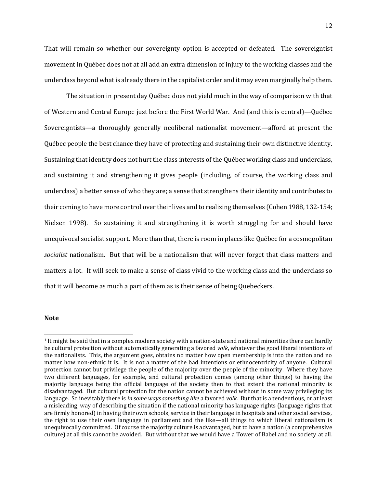That will remain so whether our sovereignty option is accepted or defeated. The sovereigntist movement in Québec does not at all add an extra dimension of injury to the working classes and the underclass beyond what is already there in the capitalist order and it may even marginally help them.

The situation in present day Québec does not yield much in the way of comparison with that of Western and Central Europe just before the First World War. And (and this is central)—Québec Sovereigntists—a thoroughly generally neoliberal nationalist movement—afford at present the Québec people the best chance they have of protecting and sustaining their own distinctive identity. Sustaining that identity does not hurt the class interests of the Québec working class and underclass, and sustaining it and strengthening it gives people (including, of course, the working class and underclass) a better sense of who they are; a sense that strengthens their identity and contributes to their coming to have more control over their lives and to realizing themselves (Cohen 1988, 132-154; Nielsen 1998). So sustaining it and strengthening it is worth struggling for and should have unequivocal socialist support. More than that, there is room in places like Québec for a cosmopolitan *socialist* nationalism. But that will be a nationalism that will never forget that class matters and matters a lot. It will seek to make a sense of class vivid to the working class and the underclass so that it will become as much a part of them as is their sense of being Quebeckers.

## **Note**

l

<sup>1</sup> It might be said that in a complex modern society with a nation-state and national minorities there can hardly be cultural protection without automatically generating a favored *volk*, whatever the good liberal intentions of the nationalists. This, the argument goes, obtains no matter how open membership is into the nation and no matter how non-ethnic it is. It is not a matter of the bad intentions or ethnocentricity of anyone. Cultural protection cannot but privilege the people of the majority over the people of the minority. Where they have two different languages, for example, and cultural protection comes (among other things) to having the majority language being the official language of the society then to that extent the national minority is disadvantaged. But cultural protection for the nation cannot be achieved without in some way privileging its language. So inevitably there is *in some ways something like* a favored *volk*. But that is a tendentious, or at least a misleading, way of describing the situation if the national minority has language rights (language rights that are firmly honored) in having their own schools, service in their language in hospitals and other social services, the right to use their own language in parliament and the like—all things to which liberal nationalism is unequivocally committed. Of course the majority culture is advantaged, but to have a nation (a comprehensive culture) at all this cannot be avoided. But without that we would have a Tower of Babel and no society at all.